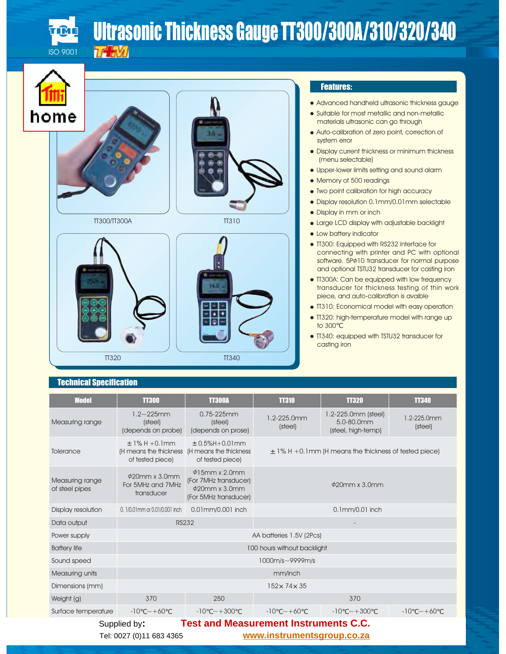

# Ultrasonic Thickness Gauge TT300/300A/310/320/340



http://www.instrumentsgroup.co.za





TT300/TT300A TT310



#### Features:

 Advanced handheld ultrasonic thickness gauge Suitable for most metallic and non-metallic materials ultrasonic can go through

 Auto-calibration of zero point, correction of system error

 Display current thickness or minimum thickness (menu selectable)

 Upper-lower limits setting and sound alarm Memory of 500 readings

Two point calibration for high accuracy

 Display resolution 0.1mm/0.01mm selectable Display in mm or inch

 Large LCD display with adjustable backlight Low battery indicator

 TT300: Equipped with RS232 interface for connecting with printer and PC with optional software. 5P $\phi$ 10 transducer for normal purpose and optional TSTU32 transducer for casting iron

 TT300A: Can be equipped with low frequency transducer for thickness testing of thin work piece, and auto-calibration is avaible

TT310: Economical model with easy operation

 TT320: high-temperature model with range up to 300

 TT340: equipped with TSTU32 transducer for casting iron

### **Technical Specification**

| <u> Jillioti opotinoation</u>     |                                                                 |                                                                                              |                             |                                                           |                        |
|-----------------------------------|-----------------------------------------------------------------|----------------------------------------------------------------------------------------------|-----------------------------|-----------------------------------------------------------|------------------------|
| <b>Model</b>                      | <b>TT300</b>                                                    | <b>TT300A</b>                                                                                | <b>TT310</b>                | <b>TT320</b>                                              | <b>TT340</b>           |
| Measuring range                   | $1.2 - 225$ mm<br>(steel)<br>(depends on probe)                 | $0.75 - 225$ mm<br>(steel)<br>(depends on prose)                                             | 1.2-225.0mm<br>(steel)      | 1.2-225.0mm (steel)<br>5.0-80.0mm<br>(steel, high-temp)   | 1.2-225.0mm<br>(steel) |
| Tolerance                         | $+1\% H + 0.1$ mm<br>(H means the thickness<br>of tested piece) | $± 0.5\%H+0.01mm$<br>(H means the thickness<br>of tested piece)                              |                             | $\pm$ 1% H +0.1mm (H means the thickness of tested piece) |                        |
| Measuring range<br>of steel pipes | $\phi$ 20mm x 3.0mm<br>For 5MHz and 7MHz<br>transducer          | $\phi$ 15mm x 2.0mm<br>(For 7MHz transducer)<br>$\phi$ 20mm x 3.0mm<br>(For 5MHz transducer) |                             | $\phi$ 20mm x 3.0mm                                       |                        |
| Display resolution                | 0. 1/0.01 mm or 0.01/0.001 inch                                 | 0.01 mm/0.001 inch                                                                           |                             | 0.1mm/0.01 inch                                           |                        |
| Data output                       |                                                                 | <b>RS232</b>                                                                                 |                             |                                                           |                        |
| Power supply                      |                                                                 |                                                                                              | AA batteries 1.5V (2Pcs)    |                                                           |                        |
| <b>Battery life</b>               |                                                                 |                                                                                              | 100 hours without backlight |                                                           |                        |
| Sound speed                       |                                                                 |                                                                                              | $1000m/s \sim 9999m/s$      |                                                           |                        |
| Measuring units                   |                                                                 |                                                                                              | mm/inch                     |                                                           |                        |
| Dimensions (mm)                   |                                                                 |                                                                                              | $152 \times 74 \times 35$   |                                                           |                        |
| Weight (g)                        | 370                                                             | 250                                                                                          |                             | 370                                                       |                        |
| Surface temperature               | $-10 - +60$                                                     | $-10 - +300$                                                                                 | $-10 - +60$                 | $-10$ ~ +300                                              | $-10 \sim +60$         |
|                                   | Supplied by:                                                    | <b>Test and Measurement Instruments C.C.</b>                                                 |                             |                                                           |                        |

BEIJING TIME HIGH TECHNOLOGY LTD. Tel: 0027 (0)11 683 4365 **www.instrumentsgroup.co.za**